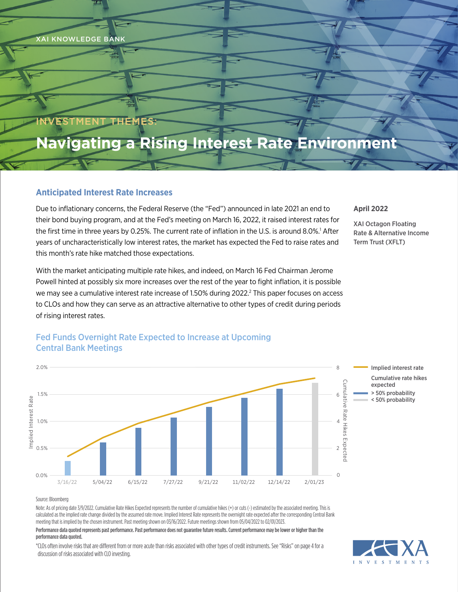

### INVESTMENT THEMES:

# **Navigating a Rising Interest Rate Environment**

### **Anticipated Interest Rate Increases**

Due to inflationary concerns, the Federal Reserve (the "Fed") announced in late 2021 an end to their bond buying program, and at the Fed's meeting on March 16, 2022, it raised interest rates for the first time in three years by 0.25%. The current rate of inflation in the U.S. is around 8.0%.<sup>1</sup> After years of uncharacteristically low interest rates, the market has expected the Fed to raise rates and this month's rate hike matched those expectations.

With the market anticipating multiple rate hikes, and indeed, on March 16 Fed Chairman Jerome Powell hinted at possibly six more increases over the rest of the year to fight inflation, it is possible we may see a cumulative interest rate increase of 1.50% during 2022.<sup>2</sup> This paper focuses on access to CLOs and how they can serve as an attractive alternative to other types of credit during periods of rising interest rates.

#### **April 2022**

XAI Octagon Floating Rate & Alternative Income Term Trust (XFLT)



### Fed Funds Overnight Rate Expected to Increase at Upcoming Central Bank Meetings

#### Source: Bloomberg

Note: As of pricing date 3/9/2022. Cumulative Rate Hikes Expected represents the number of cumulative hikes (+) or cuts (-) estimated by the associated meeting. This is calculated as the implied rate change divided by the assumed rate move. Implied Interest Rate represents the overnight rate expected after the corresponding Central Bank meeting that is implied by the chosen instrument. Past meeting shown on 03/16/2022. Future meetings shown from 05/04/2022 to 02/01/2023.

#### Performance data quoted represents past performance. Past performance does not guarantee future results. Current performance may be lower or higher than the performance data quoted.

\*CLOs often involve risks that are different from or more acute than risks associated with other types of credit instruments. See "Risks" on page 4 for a discussion of risks associated with CLO investing.

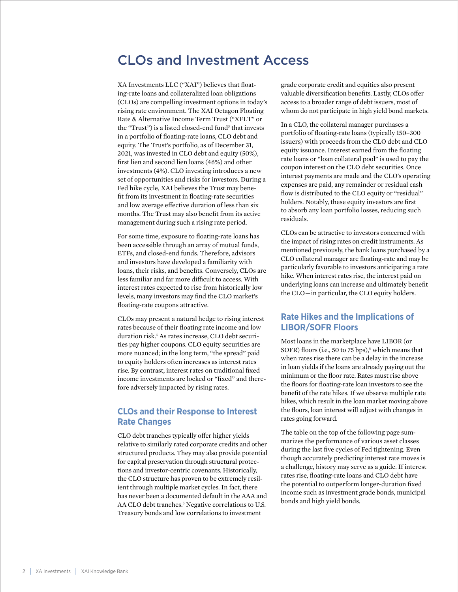## CLOs and Investment Access

XA Investments LLC ("XAI") believes that floating-rate loans and collateralized loan obligations (CLOs) are compelling investment options in today's rising rate environment. The XAI Octagon Floating Rate & Alternative Income Term Trust ("XFLT" or the "Trust") is a listed closed-end fund<sup>3</sup> that invests in a portfolio of floating-rate loans, CLO debt and equity. The Trust's portfolio, as of December 31, 2021, was invested in CLO debt and equity (50%), first lien and second lien loans (46%) and other investments (4%). CLO investing introduces a new set of opportunities and risks for investors. During a Fed hike cycle, XAI believes the Trust may benefit from its investment in floating-rate securities and low average effective duration of less than six months. The Trust may also benefit from its active management during such a rising rate period.

For some time, exposure to floating-rate loans has been accessible through an array of mutual funds, ETFs, and closed-end funds. Therefore, advisors and investors have developed a familiarity with loans, their risks, and benefits. Conversely, CLOs are less familiar and far more difficult to access. With interest rates expected to rise from historically low levels, many investors may find the CLO market's floating-rate coupons attractive.

CLOs may present a natural hedge to rising interest rates because of their floating rate income and low duration risk.4 As rates increase, CLO debt securities pay higher coupons. CLO equity securities are more nuanced; in the long term, "the spread" paid to equity holders often increases as interest rates rise. By contrast, interest rates on traditional fixed income investments are locked or "fixed" and therefore adversely impacted by rising rates.

### **CLOs and their Response to Interest Rate Changes**

CLO debt tranches typically offer higher yields relative to similarly rated corporate credits and other structured products. They may also provide potential for capital preservation through structural protections and investor-centric covenants. Historically, the CLO structure has proven to be extremely resilient through multiple market cycles. In fact, there has never been a documented default in the AAA and AA CLO debt tranches.<sup>5</sup> Negative correlations to U.S. Treasury bonds and low correlations to investment

grade corporate credit and equities also present valuable diversification benefits. Lastly, CLOs offer access to a broader range of debt issuers, most of whom do not participate in high yield bond markets.

In a CLO, the collateral manager purchases a portfolio of floating-rate loans (typically 150–300 issuers) with proceeds from the CLO debt and CLO equity issuance. Interest earned from the floating rate loans or "loan collateral pool" is used to pay the coupon interest on the CLO debt securities. Once interest payments are made and the CLO's operating expenses are paid, any remainder or residual cash flow is distributed to the CLO equity or "residual" holders. Notably, these equity investors are first to absorb any loan portfolio losses, reducing such residuals.

CLOs can be attractive to investors concerned with the impact of rising rates on credit instruments. As mentioned previously, the bank loans purchased by a CLO collateral manager are floating-rate and may be particularly favorable to investors anticipating a rate hike. When interest rates rise, the interest paid on underlying loans can increase and ultimately benefit the CLO — in particular, the CLO equity holders.

### **Rate Hikes and the Implications of LIBOR/SOFR Floors**

Most loans in the marketplace have LIBOR (or SOFR) floors (i.e., 50 to 75 bps),<sup>4</sup> which means that when rates rise there can be a delay in the increase in loan yields if the loans are already paying out the minimum or the floor rate. Rates must rise above the floors for floating-rate loan investors to see the benefit of the rate hikes. If we observe multiple rate hikes, which result in the loan market moving above the floors, loan interest will adjust with changes in rates going forward.

The table on the top of the following page summarizes the performance of various asset classes during the last five cycles of Fed tightening. Even though accurately predicting interest rate moves is a challenge, history may serve as a guide. If interest rates rise, floating-rate loans and CLO debt have the potential to outperform longer-duration fixed income such as investment grade bonds, municipal bonds and high yield bonds.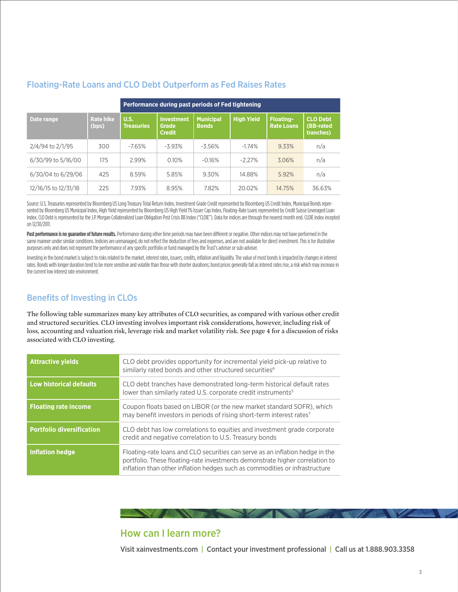|                      |                           | Performance during past periods of Fed tightening |                                                    |                                  |                   |                                       |                                           |
|----------------------|---------------------------|---------------------------------------------------|----------------------------------------------------|----------------------------------|-------------------|---------------------------------------|-------------------------------------------|
| Date range           | <b>Rate hike</b><br>(bps) | U.S.<br><b>Treasuries</b>                         | <b>Investment</b><br><b>Grade</b><br><b>Credit</b> | <b>Municipal</b><br><b>Bonds</b> | <b>High Yield</b> | <b>Floating-</b><br><b>Rate Loans</b> | <b>CLO Debt</b><br>(BB-rated<br>tranches) |
| 2/4/94 to 2/1/95     | 300                       | $-7.65%$                                          | $-3.93%$                                           | $-3.56%$                         | $-1.74%$          | 9.33%                                 | n/a                                       |
| 6/30/99 to 5/16/00   | 175                       | 2.99%                                             | 0.10%                                              | $-0.16%$                         | $-2.27%$          | 3.06%                                 | n/a                                       |
| 6/30/04 to 6/29/06   | 425                       | 8.59%                                             | 5.85%                                              | 9.30%                            | 14.88%            | 5.92%                                 | n/a                                       |
| 12/16/15 to 12/31/18 | 225                       | 7.93%                                             | 8.95%                                              | 7.82%                            | 20.02%            | 14.75%                                | 36.63%                                    |

### Floating-Rate Loans and CLO Debt Outperform as Fed Raises Rates

Source: U.S. Treasuries represented by Bloomberg US Long Treasury Total Return Index, Investment Grade Credit represented by Bloomberg US Credit Index, Municipal Bonds represented by Bloomberg US Municipal Index, High Yield represented by Bloomberg US High Yield 1% Issuer Cap Index, Floating-Rate Loans represented by Credit Suisse Leveraged Loan Index. CLO Debt is represented by the J.P. Morgan Collateralized Loan Obligation Post Crisis BB Index ("CLOIE"). Data for indices are through the nearest month end. CLOIE index incepted on 12/30/2011.

Past performance is no guarantee of future results. Performance during other time periods may have been different or negative. Other indices may not have performed in the same manner under similar conditions. Indicies are unmanaged, do not reflect the deduction of fees and expenses, and are not available for direct investment. This is for illustrative purposes only and does not represent the performance of any specific portfolio or fund managed by the Trust's adviser or sub-adviser.

Investing in the bond market is subject to risks related to the market, interest rates, issuers, credits, inflation and liquidity. The value of most bonds is impacted by changes in interest rates. Bonds with longer duration tend to be more sensitive and volatile than those with shorter durations; bond prices generally fall as interest rates rise, a risk which may increase in the current low interest rate environment.

### Benefits of Investing in CLOs

The following table summarizes many key attributes of CLO securities, as compared with various other credit and structured securities. CLO investing involves important risk considerations, however, including risk of loss, accounting and valuation risk, leverage risk and market volatility risk. See page 4 for a discussion of risks associated with CLO investing.

| <b>Attractive yields</b>         | CLO debt provides opportunity for incremental yield pick-up relative to<br>similarly rated bonds and other structured securities <sup>6</sup>                                                                                                |  |  |  |  |
|----------------------------------|----------------------------------------------------------------------------------------------------------------------------------------------------------------------------------------------------------------------------------------------|--|--|--|--|
| <b>Low historical defaults</b>   | CLO debt tranches have demonstrated long-term historical default rates<br>lower than similarly rated U.S. corporate credit instruments <sup>5</sup>                                                                                          |  |  |  |  |
| <b>Floating rate income</b>      | Coupon floats based on LIBOR (or the new market standard SOFR), which<br>may benefit investors in periods of rising short-term interest rates <sup>7</sup>                                                                                   |  |  |  |  |
| <b>Portfolio diversification</b> | CLO debt has low correlations to equities and investment grade corporate<br>credit and negative correlation to U.S. Treasury bonds                                                                                                           |  |  |  |  |
| <b>Inflation hedge</b>           | Floating-rate loans and CLO securities can serve as an inflation hedge in the<br>portfolio. These floating-rate investments demonstrate higher correlation to<br>inflation than other inflation hedges such as commodities or infrastructure |  |  |  |  |

### How can I learn more?

The Manual Manual Manual Manual Manual

Visit [xainvestments.com](http://xainvestments.com) | Contact your investment professional | Call us at 1.888.903.3358